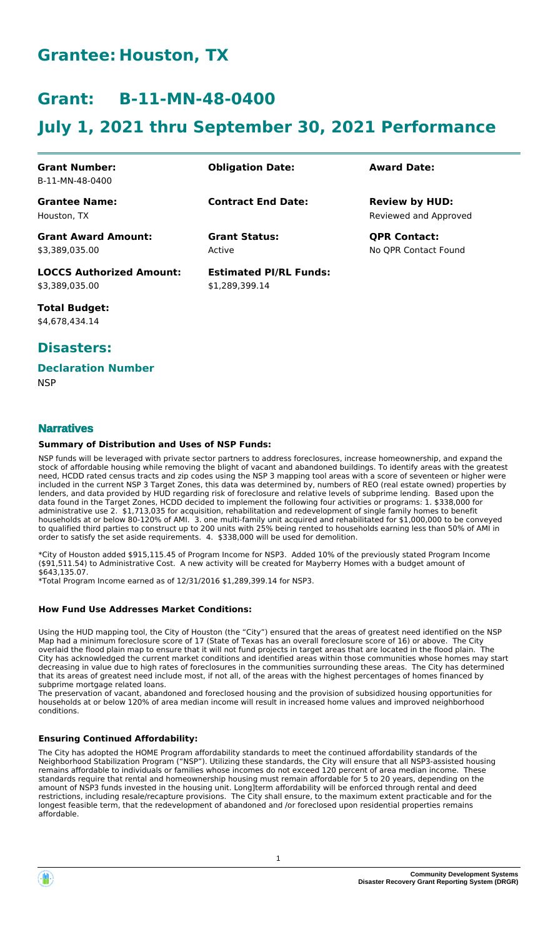# **Grantee: Houston, TX**

# **Grant: B-11-MN-48-0400**

# **July 1, 2021 thru September 30, 2021 Performance**

| <b>Grant Number:</b><br>B-11-MN-48-0400           | <b>Obligation Date:</b>                         | <b>Award Date:</b>                             |
|---------------------------------------------------|-------------------------------------------------|------------------------------------------------|
| <b>Grantee Name:</b><br>Houston, TX               | <b>Contract End Date:</b>                       | <b>Review by HUD:</b><br>Reviewed and Approved |
| <b>Grant Award Amount:</b><br>\$3.389.035.00      | <b>Grant Status:</b><br>Active                  | <b>QPR Contact:</b><br>No OPR Contact Found    |
| <b>LOCCS Authorized Amount:</b><br>\$3,389,035.00 | <b>Estimated PI/RL Funds:</b><br>\$1,289,399.14 |                                                |

**Total Budget:** \$4,678,434.14

## **Disasters:**

#### **Declaration Number**

**NSP** 

## **Narratives**

#### **Summary of Distribution and Uses of NSP Funds:**

NSP funds will be leveraged with private sector partners to address foreclosures, increase homeownership, and expand the stock of affordable housing while removing the blight of vacant and abandoned buildings. To identify areas with the greatest need, HCDD rated census tracts and zip codes using the NSP 3 mapping tool areas with a score of seventeen or higher were included in the current NSP 3 Target Zones, this data was determined by, numbers of REO (real estate owned) properties by lenders, and data provided by HUD regarding risk of foreclosure and relative levels of subprime lending. Based upon the data found in the Target Zones, HCDD decided to implement the following four activities or programs: 1. \$338,000 for administrative use 2. \$1,713,035 for acquisition, rehabilitation and redevelopment of single family homes to benefit households at or below 80-120% of AMI. 3. one multi-family unit acquired and rehabilitated for \$1,000,000 to be conveyed to qualified third parties to construct up to 200 units with 25% being rented to households earning less than 50% of AMI in order to satisfy the set aside requirements. 4. \$338,000 will be used for demolition.

\*City of Houston added \$915,115.45 of Program Income for NSP3. Added 10% of the previously stated Program Income (\$91,511.54) to Administrative Cost. A new activity will be created for Mayberry Homes with a budget amount of \$643,135.07.

\*Total Program Income earned as of 12/31/2016 \$1,289,399.14 for NSP3.

#### **How Fund Use Addresses Market Conditions:**

Using the HUD mapping tool, the City of Houston (the "City") ensured that the areas of greatest need identified on the NSP Map had a minimum foreclosure score of 17 (State of Texas has an overall foreclosure score of 16) or above. The City overlaid the flood plain map to ensure that it will not fund projects in target areas that are located in the flood plain. The City has acknowledged the current market conditions and identified areas within those communities whose homes may start decreasing in value due to high rates of foreclosures in the communities surrounding these areas. The City has determined that its areas of greatest need include most, if not all, of the areas with the highest percentages of homes financed by subprime mortgage related loans.

The preservation of vacant, abandoned and foreclosed housing and the provision of subsidized housing opportunities for households at or below 120% of area median income will result in increased home values and improved neighborhood conditions.

#### **Ensuring Continued Affordability:**

The City has adopted the HOME Program affordability standards to meet the continued affordability standards of the Neighborhood Stabilization Program ("NSP"). Utilizing these standards, the City will ensure that all NSP3-assisted housing remains affordable to individuals or families whose incomes do not exceed 120 percent of area median income. These standards require that rental and homeownership housing must remain affordable for 5 to 20 years, depending on the amount of NSP3 funds invested in the housing unit. Long]term affordability will be enforced through rental and deed restrictions, including resale/recapture provisions. The City shall ensure, to the maximum extent practicable and for the longest feasible term, that the redevelopment of abandoned and /or foreclosed upon residential properties remains affordable.

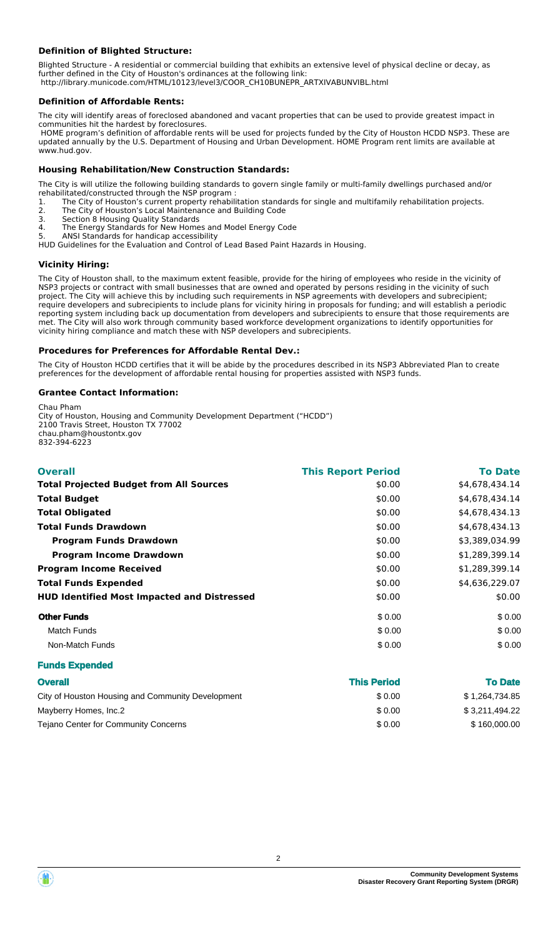### **Definition of Blighted Structure:**

Blighted Structure - A residential or commercial building that exhibits an extensive level of physical decline or decay, as further defined in the City of Houston's ordinances at the following link: http://library.municode.com/HTML/10123/level3/COOR\_CH10BUNEPR\_ARTXIVABUNVIBL.html

#### **Definition of Affordable Rents:**

The city will identify areas of foreclosed abandoned and vacant properties that can be used to provide greatest impact in communities hit the hardest by foreclosures.

 HOME program's definition of affordable rents will be used for projects funded by the City of Houston HCDD NSP3. These are updated annually by the U.S. Department of Housing and Urban Development. HOME Program rent limits are available at www.hud.gov.

#### **Housing Rehabilitation/New Construction Standards:**

The City is will utilize the following building standards to govern single family or multi-family dwellings purchased and/or rehabilitated/constructed through the NSP program :

- 1. The City of Houston's current property rehabilitation standards for single and multifamily rehabilitation projects.
- 2. The City of Houston's Local Maintenance and Building Code
- 3. Section 8 Housing Quality Standards The Energy Standards for New Homes and Model Energy Code
- 5. ANSI Standards for handicap accessibility
- HUD Guidelines for the Evaluation and Control of Lead Based Paint Hazards in Housing.

#### **Vicinity Hiring:**

The City of Houston shall, to the maximum extent feasible, provide for the hiring of employees who reside in the vicinity of NSP3 projects or contract with small businesses that are owned and operated by persons residing in the vicinity of such project. The City will achieve this by including such requirements in NSP agreements with developers and subrecipient; require developers and subrecipients to include plans for vicinity hiring in proposals for funding; and will establish a periodic reporting system including back up documentation from developers and subrecipients to ensure that those requirements are met. The City will also work through community based workforce development organizations to identify opportunities for vicinity hiring compliance and match these with NSP developers and subrecipients.

#### **Procedures for Preferences for Affordable Rental Dev.:**

The City of Houston HCDD certifies that it will be abide by the procedures described in its NSP3 Abbreviated Plan to create preferences for the development of affordable rental housing for properties assisted with NSP3 funds.

#### **Grantee Contact Information:**

Chau Pham City of Houston, Housing and Community Development Department ("HCDD") 2100 Travis Street, Houston TX 77002 chau.pham@houstontx.gov 832-394-6223

| <b>Overall</b>                                     | <b>This Report Period</b> | <b>To Date</b> |
|----------------------------------------------------|---------------------------|----------------|
| <b>Total Projected Budget from All Sources</b>     | \$0.00                    | \$4,678,434.14 |
| <b>Total Budget</b>                                | \$0.00                    | \$4,678,434.14 |
| <b>Total Obligated</b>                             | \$0.00                    | \$4,678,434.13 |
| <b>Total Funds Drawdown</b>                        | \$0.00                    | \$4,678,434.13 |
| <b>Program Funds Drawdown</b>                      | \$0.00                    | \$3,389,034.99 |
| <b>Program Income Drawdown</b>                     | \$0.00                    | \$1,289,399.14 |
| <b>Program Income Received</b>                     | \$0.00                    | \$1,289,399.14 |
| <b>Total Funds Expended</b>                        | \$0.00                    | \$4,636,229.07 |
| <b>HUD Identified Most Impacted and Distressed</b> | \$0.00                    | \$0.00         |
| <b>Other Funds</b>                                 | \$0.00                    | \$0.00         |
| <b>Match Funds</b>                                 | \$0.00                    | \$0.00         |
| Non-Match Funds                                    | \$0.00                    | \$0.00         |
| <b>Funds Expended</b>                              |                           |                |

| <b>Overall</b>                                    | <b>This Period</b> | <b>To Date</b> |
|---------------------------------------------------|--------------------|----------------|
| City of Houston Housing and Community Development | \$0.00             | \$1,264,734.85 |
| Mayberry Homes, Inc.2                             | \$0.00             | \$3,211,494.22 |
| Tejano Center for Community Concerns              | \$0.00             | \$160,000,00   |



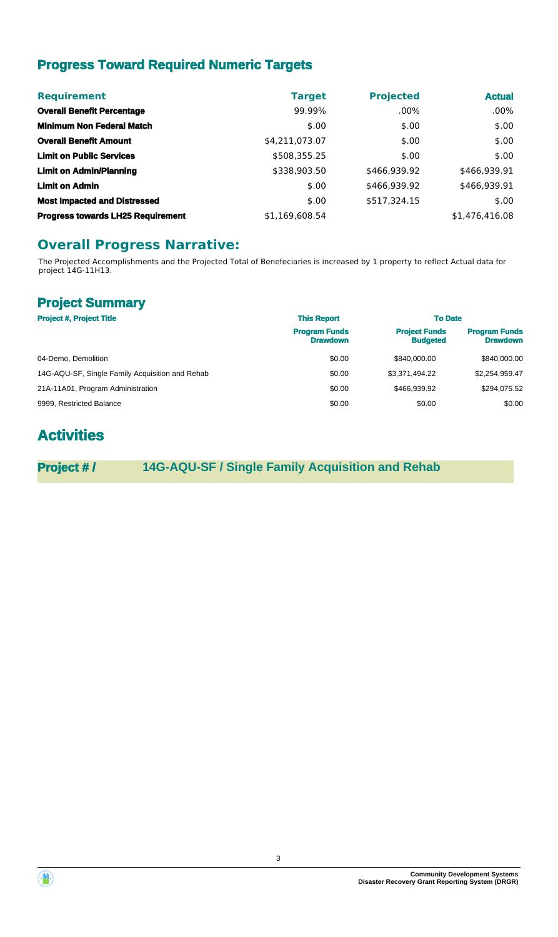# **Progress Toward Required Numeric Targets**

| <b>Requirement</b>                       | <b>Target</b>  | <b>Projected</b> | <b>Actual</b>  |
|------------------------------------------|----------------|------------------|----------------|
| <b>Overall Benefit Percentage</b>        | 99.99%         | $.00\%$          | $.00\%$        |
| <b>Minimum Non Federal Match</b>         | \$.00          | \$.00            | \$.00          |
| <b>Overall Benefit Amount</b>            | \$4,211,073.07 | \$.00            | \$.00          |
| <b>Limit on Public Services</b>          | \$508,355.25   | \$.00            | \$.00          |
| <b>Limit on Admin/Planning</b>           | \$338,903.50   | \$466,939.92     | \$466,939.91   |
| <b>Limit on Admin</b>                    | \$.00          | \$466,939.92     | \$466,939.91   |
| <b>Most Impacted and Distressed</b>      | \$.00          | \$517,324.15     | \$.00          |
| <b>Progress towards LH25 Requirement</b> | \$1,169,608.54 |                  | \$1,476,416.08 |

# **Overall Progress Narrative:**

The Projected Accomplishments and the Projected Total of Benefeciaries is increased by 1 property to reflect Actual data for project 14G-11H13.

## **Project Summary**

| <b>Project #, Project Title</b>                 | <b>This Report</b>                      | <b>To Date</b>                          |                                         |
|-------------------------------------------------|-----------------------------------------|-----------------------------------------|-----------------------------------------|
|                                                 | <b>Program Funds</b><br><b>Drawdown</b> | <b>Project Funds</b><br><b>Budgeted</b> | <b>Program Funds</b><br><b>Drawdown</b> |
| 04-Demo, Demolition                             | \$0.00                                  | \$840,000,00                            | \$840,000.00                            |
| 14G-AQU-SF, Single Family Acquisition and Rehab | \$0.00                                  | \$3,371,494.22                          | \$2.254.959.47                          |
| 21A-11A01, Program Administration               | \$0.00                                  | \$466.939.92                            | \$294.075.52                            |
| 9999, Restricted Balance                        | \$0.00                                  | \$0.00                                  | \$0.00                                  |

# **Activities**

**Project # / 14G-AQU-SF / Single Family Acquisition and Rehab**

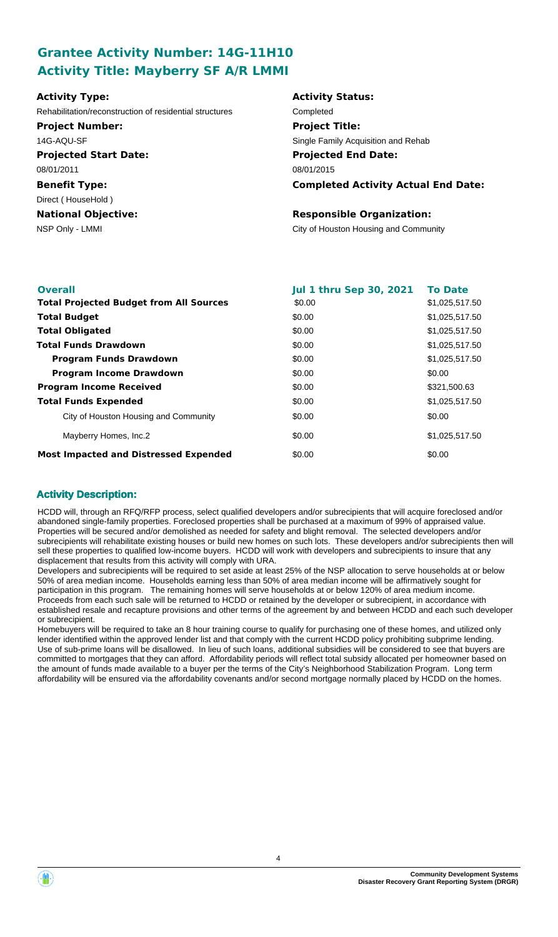# **Grantee Activity Number: 14G-11H10 Activity Title: Mayberry SF A/R LMMI**

| <b>Activity Type:</b>                                   | <b>Activity Status:</b>                    |
|---------------------------------------------------------|--------------------------------------------|
| Rehabilitation/reconstruction of residential structures | Completed                                  |
| <b>Project Number:</b>                                  | <b>Project Title:</b>                      |
| 14G-AQU-SF                                              | Single Family Acquisition and Rehab        |
| <b>Projected Start Date:</b>                            | <b>Projected End Date:</b>                 |
| 08/01/2011                                              | 08/01/2015                                 |
| <b>Benefit Type:</b>                                    | <b>Completed Activity Actual End Date:</b> |
| Direct (HouseHold)                                      |                                            |
| <b>National Objective:</b>                              | <b>Responsible Organization:</b>           |
| NSP Only - LMMI                                         | City of Houston Housing and Community      |

| <b>Overall</b>                                 | <b>Jul 1 thru Sep 30, 2021</b> | <b>To Date</b> |
|------------------------------------------------|--------------------------------|----------------|
| <b>Total Projected Budget from All Sources</b> | \$0.00                         | \$1,025,517.50 |
| <b>Total Budget</b>                            | \$0.00                         | \$1,025,517.50 |
| <b>Total Obligated</b>                         | \$0.00                         | \$1,025,517.50 |
| <b>Total Funds Drawdown</b>                    | \$0.00                         | \$1,025,517.50 |
| <b>Program Funds Drawdown</b>                  | \$0.00                         | \$1,025,517.50 |
| <b>Program Income Drawdown</b>                 | \$0.00                         | \$0.00         |
| <b>Program Income Received</b>                 | \$0.00                         | \$321,500.63   |
| <b>Total Funds Expended</b>                    | \$0.00                         | \$1,025,517.50 |
| City of Houston Housing and Community          | \$0.00                         | \$0.00         |
| Mayberry Homes, Inc.2                          | \$0.00                         | \$1,025,517.50 |
| <b>Most Impacted and Distressed Expended</b>   | \$0.00                         | \$0.00         |

## **Activity Description:**

HCDD will, through an RFQ/RFP process, select qualified developers and/or subrecipients that will acquire foreclosed and/or abandoned single-family properties. Foreclosed properties shall be purchased at a maximum of 99% of appraised value. Properties will be secured and/or demolished as needed for safety and blight removal. The selected developers and/or subrecipients will rehabilitate existing houses or build new homes on such lots. These developers and/or subrecipients then will sell these properties to qualified low-income buyers. HCDD will work with developers and subrecipients to insure that any displacement that results from this activity will comply with URA.

Developers and subrecipients will be required to set aside at least 25% of the NSP allocation to serve households at or below 50% of area median income. Households earning less than 50% of area median income will be affirmatively sought for participation in this program. The remaining homes will serve households at or below 120% of area medium income. Proceeds from each such sale will be returned to HCDD or retained by the developer or subrecipient, in accordance with established resale and recapture provisions and other terms of the agreement by and between HCDD and each such developer or subrecipient.

Homebuyers will be required to take an 8 hour training course to qualify for purchasing one of these homes, and utilized only lender identified within the approved lender list and that comply with the current HCDD policy prohibiting subprime lending. Use of sub-prime loans will be disallowed. In lieu of such loans, additional subsidies will be considered to see that buyers are committed to mortgages that they can afford. Affordability periods will reflect total subsidy allocated per homeowner based on the amount of funds made available to a buyer per the terms of the City's Neighborhood Stabilization Program. Long term affordability will be ensured via the affordability covenants and/or second mortgage normally placed by HCDD on the homes.

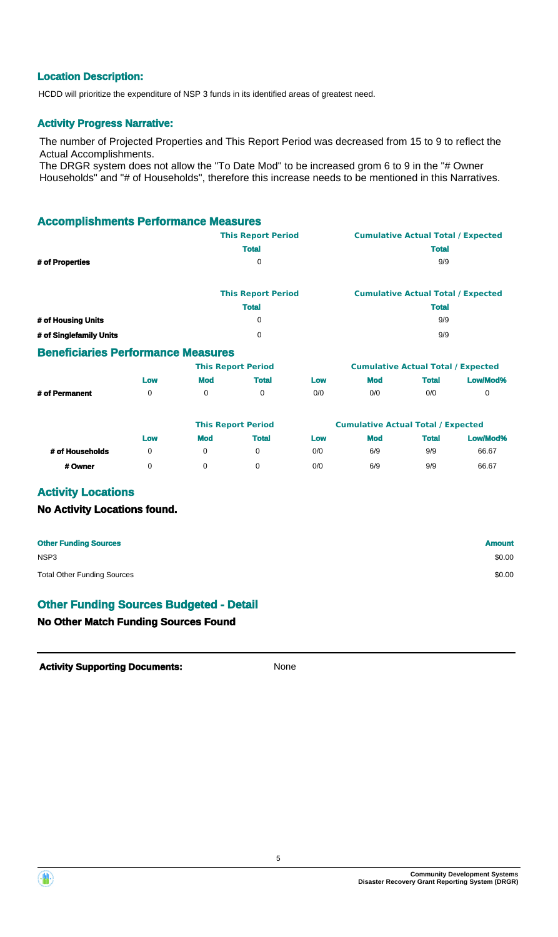## **Location Description:**

HCDD will prioritize the expenditure of NSP 3 funds in its identified areas of greatest need.

### **Activity Progress Narrative:**

The number of Projected Properties and This Report Period was decreased from 15 to 9 to reflect the Actual Accomplishments.

The DRGR system does not allow the "To Date Mod" to be increased grom 6 to 9 in the "# Owner Households" and "# of Households", therefore this increase needs to be mentioned in this Narratives.

### **Accomplishments Performance Measures**

|                    | <b>This Report Period</b> | <b>Cumulative Actual Total / Expected</b> |
|--------------------|---------------------------|-------------------------------------------|
|                    | <b>Total</b>              | <b>Total</b>                              |
| # of Properties    | 0                         | 9/9                                       |
|                    |                           |                                           |
|                    | <b>This Report Period</b> | <b>Cumulative Actual Total / Expected</b> |
|                    | <b>Total</b>              | <b>Total</b>                              |
| # of Housing Units | 0                         | 9/9                                       |

## **Beneficiaries Performance Measures**

|                |     |     | <b>This Report Period</b> |     | <b>Cumulative Actual Total / Expected</b> |              |          |
|----------------|-----|-----|---------------------------|-----|-------------------------------------------|--------------|----------|
|                | LOW | Mod | <b>Total</b>              | Low | Mod                                       | <b>Total</b> | Low/Mod% |
| # of Permanent |     |     |                           | 0/0 | 0/0                                       | 0/0          |          |

**# of Singlefamily Units** 0 9/9

|                 |     |            | <b>This Report Period</b> |     | <b>Cumulative Actual Total / Expected</b> |              |          |
|-----------------|-----|------------|---------------------------|-----|-------------------------------------------|--------------|----------|
|                 | Low | <b>Mod</b> | Total                     | Low | <b>Mod</b>                                | <b>Total</b> | Low/Mod% |
| # of Households |     |            |                           | 0/0 | 6/9                                       | 9/9          | 66.67    |
| # Owner         |     |            |                           | 0/0 | 6/9                                       | 9/9          | 66.67    |

## **Activity Locations**

#### **No Activity Locations found.**

| <b>Other Funding Sources</b>       | <b>Amount</b> |
|------------------------------------|---------------|
| NSP <sub>3</sub>                   | \$0.00        |
| <b>Total Other Funding Sources</b> | \$0.00        |

## **Other Funding Sources Budgeted - Detail**

**No Other Match Funding Sources Found**

**Activity Supporting Documents:** None



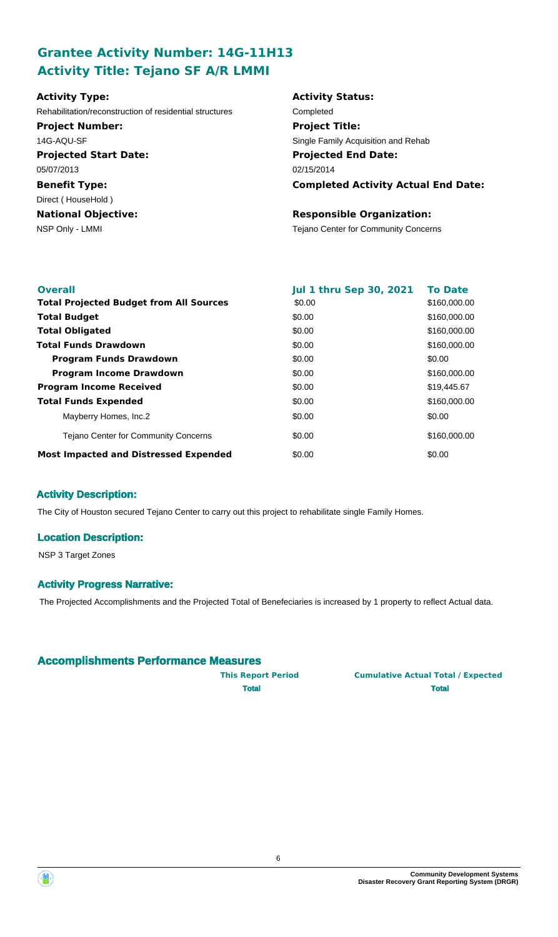# **Grantee Activity Number: 14G-11H13 Activity Title: Tejano SF A/R LMMI**

| <b>Activity Type:</b>                                   | <b>Activity Status:</b>                     |
|---------------------------------------------------------|---------------------------------------------|
| Rehabilitation/reconstruction of residential structures | Completed                                   |
| <b>Project Number:</b>                                  | <b>Project Title:</b>                       |
| 14G-AQU-SF                                              | Single Family Acquisition and Rehab         |
| <b>Projected Start Date:</b>                            | <b>Projected End Date:</b>                  |
| 05/07/2013                                              | 02/15/2014                                  |
| <b>Benefit Type:</b>                                    | <b>Completed Activity Actual End Date:</b>  |
| Direct (HouseHold)                                      |                                             |
| <b>National Objective:</b>                              | <b>Responsible Organization:</b>            |
| NSP Only - LMMI                                         | <b>Tejano Center for Community Concerns</b> |

| <b>Overall</b>                                 | <b>Jul 1 thru Sep 30, 2021</b> | <b>To Date</b> |
|------------------------------------------------|--------------------------------|----------------|
| <b>Total Projected Budget from All Sources</b> | \$0.00                         | \$160,000.00   |
| <b>Total Budget</b>                            | \$0.00                         | \$160,000.00   |
| <b>Total Obligated</b>                         | \$0.00                         | \$160,000.00   |
| <b>Total Funds Drawdown</b>                    | \$0.00                         | \$160,000.00   |
| <b>Program Funds Drawdown</b>                  | \$0.00                         | \$0.00         |
| <b>Program Income Drawdown</b>                 | \$0.00                         | \$160,000.00   |
| <b>Program Income Received</b>                 | \$0.00                         | \$19,445.67    |
| <b>Total Funds Expended</b>                    | \$0.00                         | \$160,000.00   |
| Mayberry Homes, Inc.2                          | \$0.00                         | \$0.00         |
| <b>Tejano Center for Community Concerns</b>    | \$0.00                         | \$160,000.00   |
| <b>Most Impacted and Distressed Expended</b>   | \$0.00                         | \$0.00         |

## **Activity Description:**

The City of Houston secured Tejano Center to carry out this project to rehabilitate single Family Homes.

### **Location Description:**

NSP 3 Target Zones

### **Activity Progress Narrative:**

The Projected Accomplishments and the Projected Total of Benefeciaries is increased by 1 property to reflect Actual data.

### **Accomplishments Performance Measures**

**This Report Period Cumulative Actual Total / Expected Total Total**